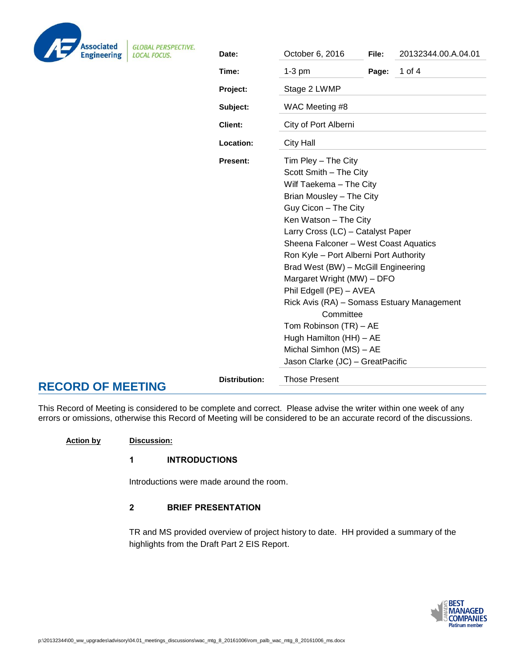| <b>Associated</b><br><b>Engineering</b> |
|-----------------------------------------|

**GLOBAL PERSPECTIVE** 

| ng                                     | ALILNUI LUIVL.<br><b>LOCAL FOCUS.</b> | Date:                | October 6, 2016                                                                                                                        | File: | 20132344.00.A.04.01 |  |
|----------------------------------------|---------------------------------------|----------------------|----------------------------------------------------------------------------------------------------------------------------------------|-------|---------------------|--|
|                                        |                                       | Time:                | $1-3$ pm                                                                                                                               | Page: | 1 of 4              |  |
|                                        |                                       | Project:             | Stage 2 LWMP                                                                                                                           |       |                     |  |
|                                        |                                       | Subject:             | WAC Meeting #8                                                                                                                         |       |                     |  |
|                                        |                                       | <b>Client:</b>       | City of Port Alberni                                                                                                                   |       |                     |  |
|                                        |                                       | Location:            | <b>City Hall</b>                                                                                                                       |       |                     |  |
|                                        |                                       | Present:             | Tim Pley - The City                                                                                                                    |       |                     |  |
|                                        |                                       |                      | Scott Smith - The City                                                                                                                 |       |                     |  |
|                                        |                                       |                      | Wilf Taekema - The City                                                                                                                |       |                     |  |
|                                        |                                       |                      | Brian Mousley - The City                                                                                                               |       |                     |  |
|                                        |                                       |                      | Guy Cicon - The City                                                                                                                   |       |                     |  |
|                                        |                                       |                      | Ken Watson - The City                                                                                                                  |       |                     |  |
|                                        |                                       |                      | Larry Cross (LC) - Catalyst Paper                                                                                                      |       |                     |  |
|                                        |                                       |                      | Sheena Falconer - West Coast Aquatics                                                                                                  |       |                     |  |
|                                        |                                       |                      | Ron Kyle - Port Alberni Port Authority<br>Brad West (BW) - McGill Engineering<br>Margaret Wright (MW) - DFO<br>Phil Edgell (PE) - AVEA |       |                     |  |
|                                        |                                       |                      |                                                                                                                                        |       |                     |  |
|                                        |                                       |                      |                                                                                                                                        |       |                     |  |
|                                        |                                       |                      |                                                                                                                                        |       |                     |  |
|                                        |                                       |                      | Rick Avis (RA) - Somass Estuary Management                                                                                             |       |                     |  |
|                                        |                                       |                      | Committee                                                                                                                              |       |                     |  |
|                                        |                                       |                      | Tom Robinson (TR) - AE                                                                                                                 |       |                     |  |
|                                        |                                       |                      | Hugh Hamilton (HH) - AE                                                                                                                |       |                     |  |
|                                        |                                       |                      | Michal Simhon (MS) - AE                                                                                                                |       |                     |  |
|                                        |                                       |                      | Jason Clarke (JC) - GreatPacific                                                                                                       |       |                     |  |
| <b>Distribution:</b><br><b>MEETING</b> |                                       | <b>Those Present</b> |                                                                                                                                        |       |                     |  |
|                                        |                                       |                      |                                                                                                                                        |       |                     |  |

This Record of Meeting is considered to be complete and correct. Please advise the writer within one week of any errors or omissions, otherwise this Record of Meeting will be considered to be an accurate record of the discussions.

## **Action by Discussion:**

**RECORD OF** 

## 1 INTRODUCTIONS

Introductions were made around the room.

# 2 BRIEF PRESENTATION

TR and MS provided overview of project history to date. HH provided a summary of the highlights from the Draft Part 2 EIS Report.

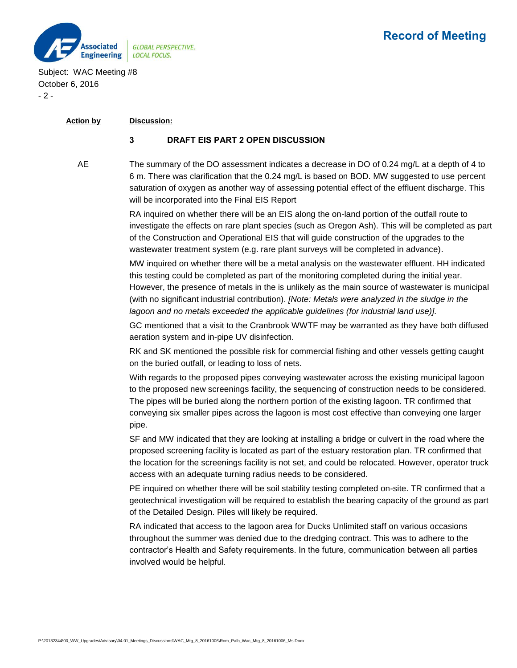

Subject: WAC Meeting #8 October 6, 2016 - 2 -

## **Action by Discussion:**

## 3 DRAFT EIS PART 2 OPEN DISCUSSION

AE The summary of the DO assessment indicates a decrease in DO of 0.24 mg/L at a depth of 4 to 6 m. There was clarification that the 0.24 mg/L is based on BOD. MW suggested to use percent saturation of oxygen as another way of assessing potential effect of the effluent discharge. This will be incorporated into the Final EIS Report

> RA inquired on whether there will be an EIS along the on-land portion of the outfall route to investigate the effects on rare plant species (such as Oregon Ash). This will be completed as part of the Construction and Operational EIS that will guide construction of the upgrades to the wastewater treatment system (e.g. rare plant surveys will be completed in advance).

> MW inquired on whether there will be a metal analysis on the wastewater effluent. HH indicated this testing could be completed as part of the monitoring completed during the initial year. However, the presence of metals in the is unlikely as the main source of wastewater is municipal (with no significant industrial contribution). *[Note: Metals were analyzed in the sludge in the lagoon and no metals exceeded the applicable guidelines (for industrial land use)].*

> GC mentioned that a visit to the Cranbrook WWTF may be warranted as they have both diffused aeration system and in-pipe UV disinfection.

RK and SK mentioned the possible risk for commercial fishing and other vessels getting caught on the buried outfall, or leading to loss of nets.

With regards to the proposed pipes conveying wastewater across the existing municipal lagoon to the proposed new screenings facility, the sequencing of construction needs to be considered. The pipes will be buried along the northern portion of the existing lagoon. TR confirmed that conveying six smaller pipes across the lagoon is most cost effective than conveying one larger pipe.

SF and MW indicated that they are looking at installing a bridge or culvert in the road where the proposed screening facility is located as part of the estuary restoration plan. TR confirmed that the location for the screenings facility is not set, and could be relocated. However, operator truck access with an adequate turning radius needs to be considered.

PE inquired on whether there will be soil stability testing completed on-site. TR confirmed that a geotechnical investigation will be required to establish the bearing capacity of the ground as part of the Detailed Design. Piles will likely be required.

RA indicated that access to the lagoon area for Ducks Unlimited staff on various occasions throughout the summer was denied due to the dredging contract. This was to adhere to the contractor's Health and Safety requirements. In the future, communication between all parties involved would be helpful.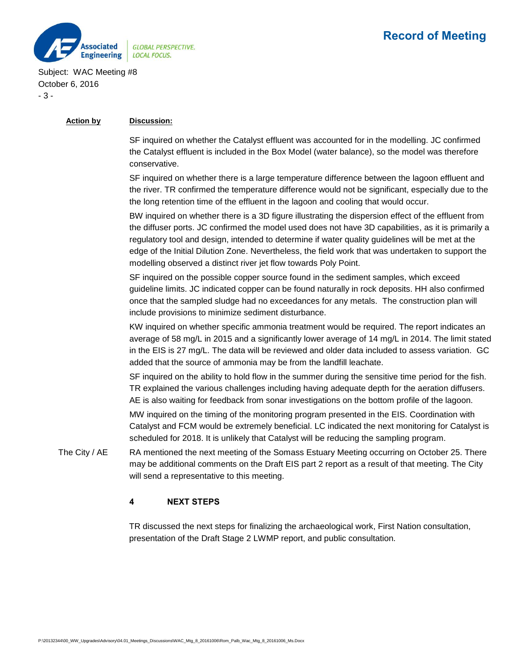

# Record of Meeting

Subject: WAC Meeting #8 October 6, 2016 - 3 -

## **Action by Discussion:**

SF inquired on whether the Catalyst effluent was accounted for in the modelling. JC confirmed the Catalyst effluent is included in the Box Model (water balance), so the model was therefore conservative.

SF inquired on whether there is a large temperature difference between the lagoon effluent and the river. TR confirmed the temperature difference would not be significant, especially due to the the long retention time of the effluent in the lagoon and cooling that would occur.

BW inquired on whether there is a 3D figure illustrating the dispersion effect of the effluent from the diffuser ports. JC confirmed the model used does not have 3D capabilities, as it is primarily a regulatory tool and design, intended to determine if water quality guidelines will be met at the edge of the Initial Dilution Zone. Nevertheless, the field work that was undertaken to support the modelling observed a distinct river jet flow towards Poly Point.

SF inquired on the possible copper source found in the sediment samples, which exceed guideline limits. JC indicated copper can be found naturally in rock deposits. HH also confirmed once that the sampled sludge had no exceedances for any metals. The construction plan will include provisions to minimize sediment disturbance.

KW inquired on whether specific ammonia treatment would be required. The report indicates an average of 58 mg/L in 2015 and a significantly lower average of 14 mg/L in 2014. The limit stated in the EIS is 27 mg/L. The data will be reviewed and older data included to assess variation. GC added that the source of ammonia may be from the landfill leachate.

SF inquired on the ability to hold flow in the summer during the sensitive time period for the fish. TR explained the various challenges including having adequate depth for the aeration diffusers. AE is also waiting for feedback from sonar investigations on the bottom profile of the lagoon.

MW inquired on the timing of the monitoring program presented in the EIS. Coordination with Catalyst and FCM would be extremely beneficial. LC indicated the next monitoring for Catalyst is scheduled for 2018. It is unlikely that Catalyst will be reducing the sampling program.

The City / AE RA mentioned the next meeting of the Somass Estuary Meeting occurring on October 25. There may be additional comments on the Draft EIS part 2 report as a result of that meeting. The City will send a representative to this meeting.

## 4 NEXT STEPS

TR discussed the next steps for finalizing the archaeological work, First Nation consultation, presentation of the Draft Stage 2 LWMP report, and public consultation.